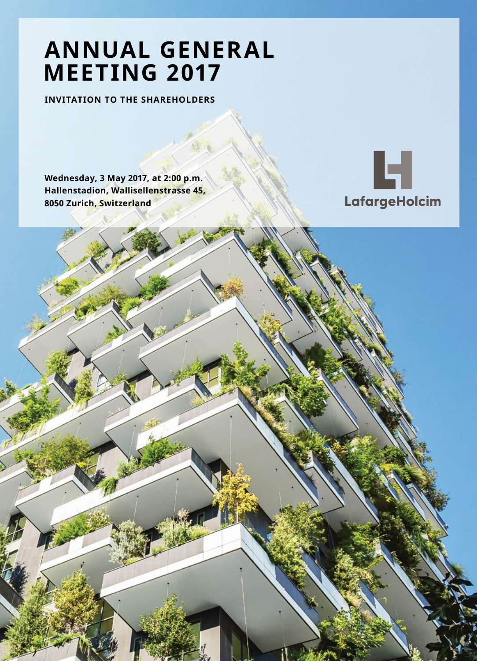# **ANNUAL GENERAL MEETING 2017**

**INVITATION TO THE SHAREHOLDERS**

**Wednesday, 3 May 2017, at 2:00 p.m. Hallenstadion, Wallisellenstrasse 45, 8050 Zurich, Switzerland**

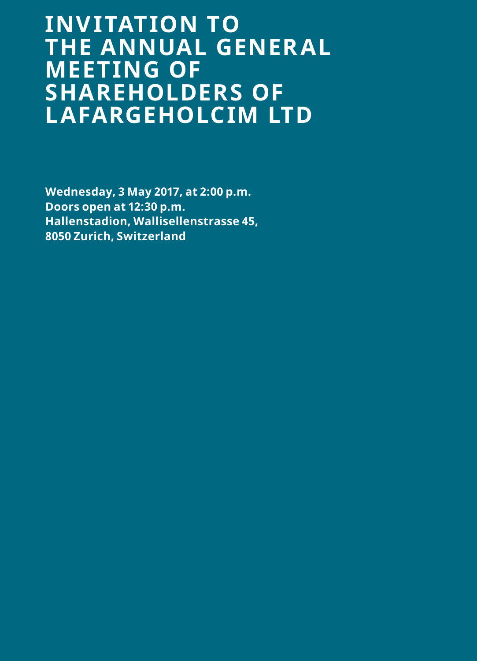# **INVITATION TO THE ANNUAL GENERAL MEETING OF SHAREHOLDERS OF LAFARGEHOLCIM LTD**

**Wednesday, 3 May 2017, at 2:00 p.m. Doors open at 12:30 p.m. Hallenstadion, Wallisellenstrasse 45, 8050 Zurich, Switzerland**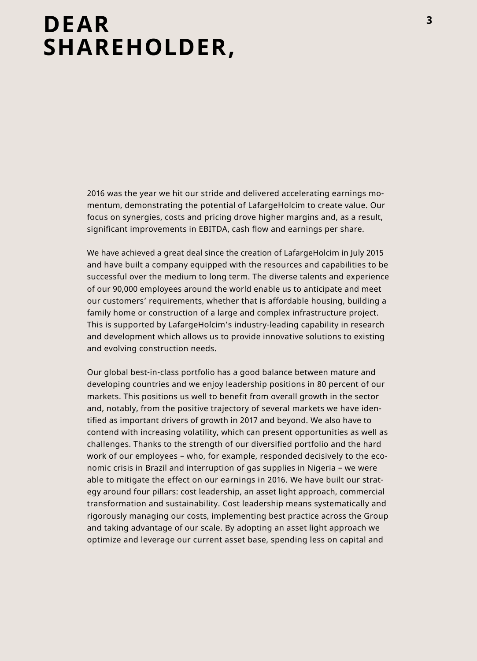# **DEAR** 3<sup>3</sup> **SHAREHOLDER,**

2016 was the year we hit our stride and delivered accelerating earnings momentum, demonstrating the potential of LafargeHolcim to create value. Our focus on synergies, costs and pricing drove higher margins and, as a result, significant improvements in EBITDA, cash flow and earnings per share.

We have achieved a great deal since the creation of LafargeHolcim in July 2015 and have built a company equipped with the resources and capabilities to be successful over the medium to long term. The diverse talents and experience of our 90,000 employees around the world enable us to anticipate and meet our customers' requirements, whether that is affordable housing, building a family home or construction of a large and complex infrastructure project. This is supported by LafargeHolcim's industry-leading capability in research and development which allows us to provide innovative solutions to existing and evolving construction needs.

Our global best-in-class portfolio has a good balance between mature and developing countries and we enjoy leadership positions in 80 percent of our markets. This positions us well to benefit from overall growth in the sector and, notably, from the positive trajectory of several markets we have identified as important drivers of growth in 2017 and beyond. We also have to contend with increasing volatility, which can present opportunities as well as challenges. Thanks to the strength of our diversified portfolio and the hard work of our employees – who, for example, responded decisively to the economic crisis in Brazil and interruption of gas supplies in Nigeria – we were able to mitigate the effect on our earnings in 2016. We have built our strategy around four pillars: cost leadership, an asset light approach, commercial transformation and sustainability. Cost leadership means systematically and rigorously managing our costs, implementing best practice across the Group and taking advantage of our scale. By adopting an asset light approach we optimize and leverage our current asset base, spending less on capital and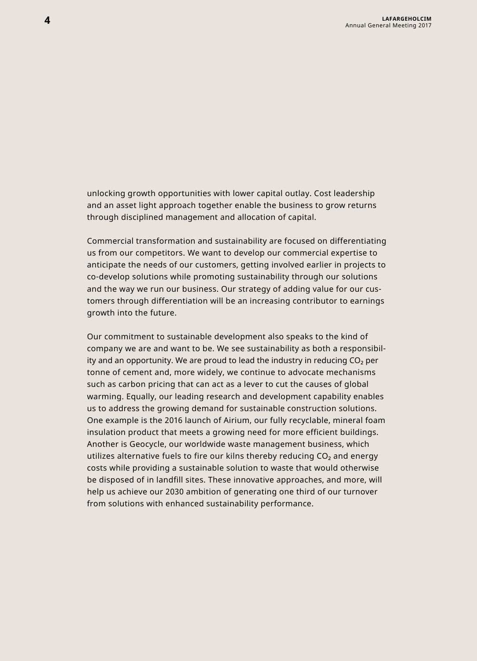unlocking growth opportunities with lower capital outlay. Cost leadership and an asset light approach together enable the business to grow returns through disciplined management and allocation of capital.

Commercial transformation and sustainability are focused on differentiating us from our competitors. We want to develop our commercial expertise to anticipate the needs of our customers, getting involved earlier in projects to co-develop solutions while promoting sustainability through our solutions and the way we run our business. Our strategy of adding value for our customers through differentiation will be an increasing contributor to earnings growth into the future.

Our commitment to sustainable development also speaks to the kind of company we are and want to be. We see sustainability as both a responsibility and an opportunity. We are proud to lead the industry in reducing  $\mathrm{CO}_2$  per tonne of cement and, more widely, we continue to advocate mechanisms such as carbon pricing that can act as a lever to cut the causes of global warming. Equally, our leading research and development capability enables us to address the growing demand for sustainable construction solutions. One example is the 2016 launch of Airium, our fully recyclable, mineral foam insulation product that meets a growing need for more efficient buildings. Another is Geocycle, our worldwide waste management business, which utilizes alternative fuels to fire our kilns thereby reducing  $CO<sub>2</sub>$  and energy costs while providing a sustainable solution to waste that would otherwise be disposed of in landfill sites. These innovative approaches, and more, will help us achieve our 2030 ambition of generating one third of our turnover from solutions with enhanced sustainability performance.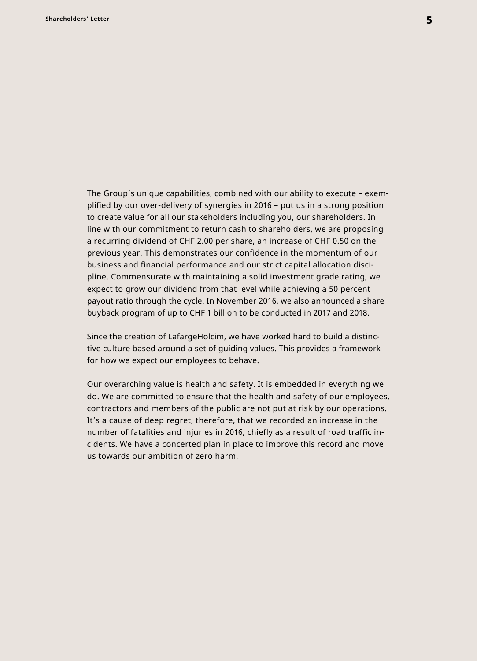The Group's unique capabilities, combined with our ability to execute – exemplified by our over-delivery of synergies in 2016 – put us in a strong position to create value for all our stakeholders including you, our shareholders. In line with our commitment to return cash to shareholders, we are proposing a recurring dividend of CHF 2.00 per share, an increase of CHF 0.50 on the previous year. This demonstrates our confidence in the momentum of our business and financial performance and our strict capital allocation discipline. Commensurate with maintaining a solid investment grade rating, we expect to grow our dividend from that level while achieving a 50 percent payout ratio through the cycle. In November 2016, we also announced a share buyback program of up to CHF 1 billion to be conducted in 2017 and 2018.

Since the creation of LafargeHolcim, we have worked hard to build a distinctive culture based around a set of guiding values. This provides a framework for how we expect our employees to behave.

Our overarching value is health and safety. It is embedded in everything we do. We are committed to ensure that the health and safety of our employees, contractors and members of the public are not put at risk by our operations. It's a cause of deep regret, therefore, that we recorded an increase in the number of fatalities and injuries in 2016, chiefly as a result of road traffic incidents. We have a concerted plan in place to improve this record and move us towards our ambition of zero harm.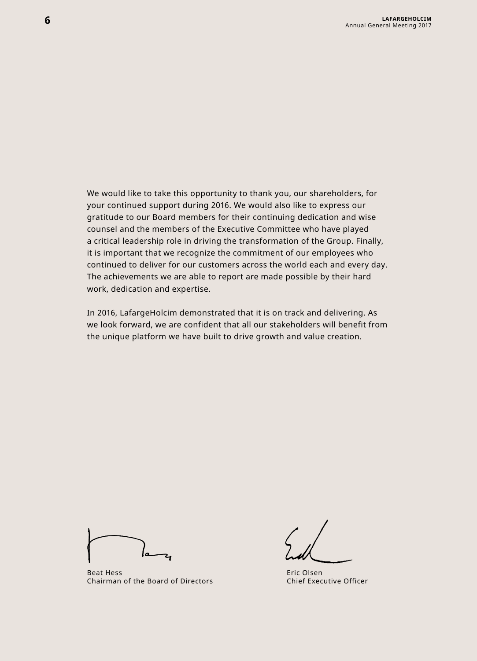We would like to take this opportunity to thank you, our shareholders, for your continued support during 2016. We would also like to express our gratitude to our Board members for their continuing dedication and wise counsel and the members of the Executive Committee who have played a critical leadership role in driving the transformation of the Group. Finally, it is important that we recognize the commitment of our employees who continued to deliver for our customers across the world each and every day. The achievements we are able to report are made possible by their hard work, dedication and expertise.

In 2016, LafargeHolcim demonstrated that it is on track and delivering. As we look forward, we are confident that all our stakeholders will benefit from the unique platform we have built to drive growth and value creation.

Beat Hess Chairman of the Board of Directors

Eric Olsen Chief Executive Officer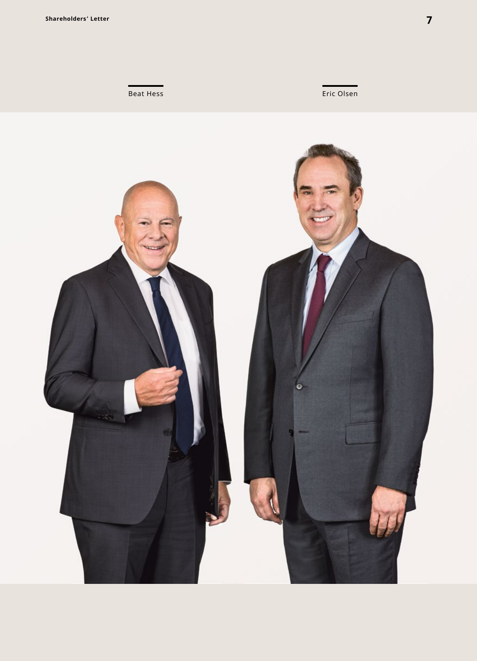**Beat Hess** Eric Olsen

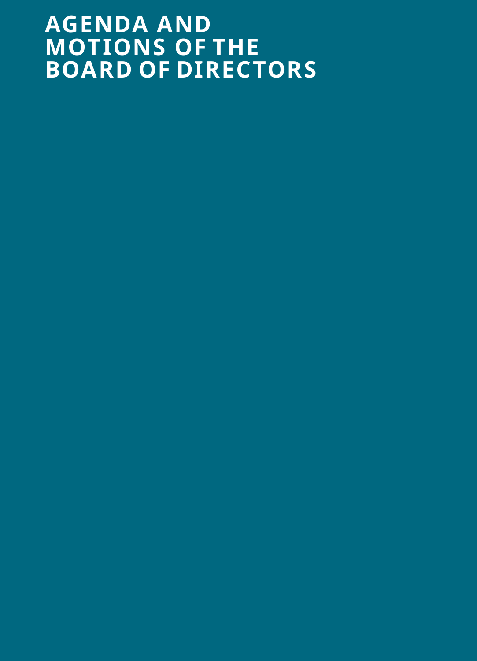# **AGENDA AND MOTIONS OF THE BOARD OF DIRECTORS**

- 
- 
- 
- -
- 
- 
- -
- -
	-
	-
- -
- 
- 
- 
- -
	-
- 
- 
- 
- 
- 
- -
	- -
		- -
- 
- 
- -
	-
	-
	-
	- -
		- -
			-
- -
	- -
- 
- 
- -
- 
- 
- 
- -
- 
- 
-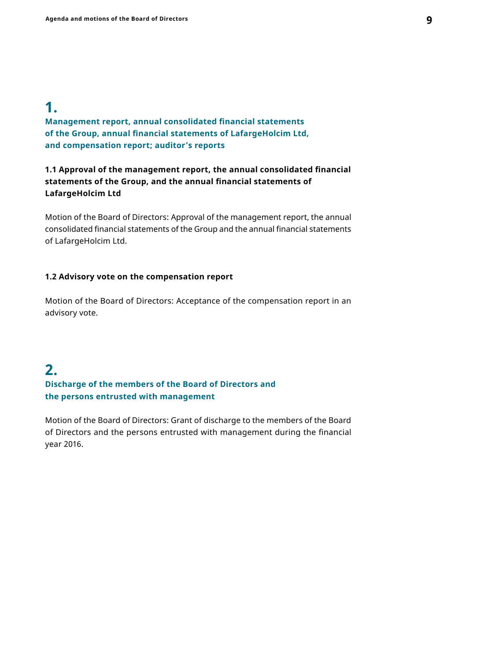# **1.**

**Management report, annual consolidated financial statements of the Group, annual financial statements of LafargeHolcim Ltd, and compensation report; auditor's reports**

# **1.1 Approval of the management report, the annual consolidated financial statements of the Group, and the annual financial statements of LafargeHolcim Ltd**

Motion of the Board of Directors: Approval of the management report, the annual consolidated financial statements of the Group and the annual financial statements of LafargeHolcim Ltd.

#### **1.2 Advisory vote on the compensation report**

Motion of the Board of Directors: Acceptance of the compensation report in an advisory vote.

# **2.**

# **Discharge of the members of the Board of Directors and the persons entrusted with management**

Motion of the Board of Directors: Grant of discharge to the members of the Board of Directors and the persons entrusted with management during the financial year 2016.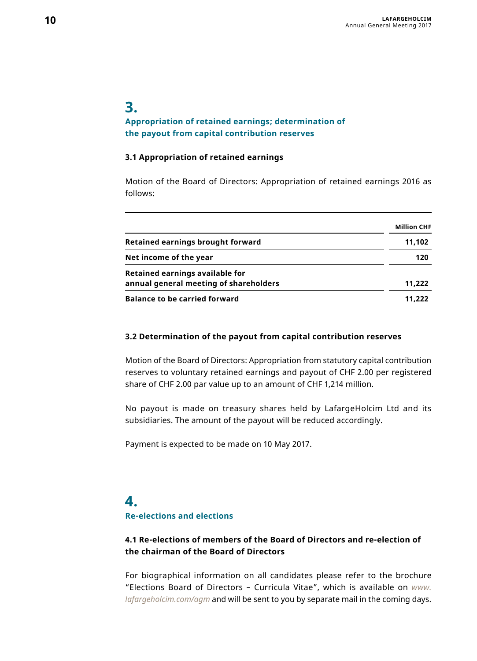# **3.**

# **Appropriation of retained earnings; determination of the payout from capital contribution reserves**

#### **3.1 Appropriation of retained earnings**

Motion of the Board of Directors: Appropriation of retained earnings 2016 as follows:

|                                        | <b>Million CHF</b> |
|----------------------------------------|--------------------|
| Retained earnings brought forward      | 11.102             |
| Net income of the year                 | 120                |
| Retained earnings available for        |                    |
| annual general meeting of shareholders | 11.222             |
| <b>Balance to be carried forward</b>   | 11.222             |

#### **3.2 Determination of the payout from capital contribution reserves**

Motion of the Board of Directors: Appropriation from statutory capital contribution reserves to voluntary retained earnings and payout of CHF 2.00 per registered share of CHF 2.00 par value up to an amount of CHF 1,214 million.

No payout is made on treasury shares held by LafargeHolcim Ltd and its subsidiaries. The amount of the payout will be reduced accordingly.

Payment is expected to be made on 10 May 2017.

# **4.**

# **Re-elections and elections**

# **4.1 Re-elections of members of the Board of Directors and re-election of the chairman of the Board of Directors**

For biographical information on all candidates please refer to the brochure "Elections Board of Directors – Curricula Vitae", which is available on *[www.](http://www.lafargeholcim.com/agm) [lafargeholcim.com/agm](http://www.lafargeholcim.com/agm)* and will be sent to you by separate mail in the coming days.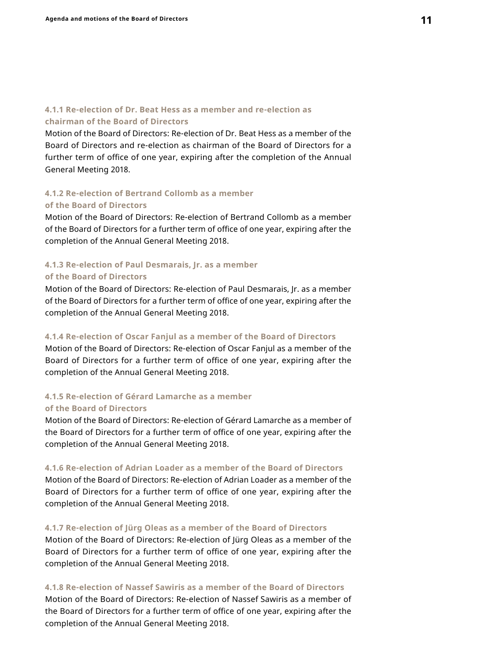### **4.1.1 Re-election of Dr. Beat Hess as a member and re-election as chairman of the Board of Directors**

Motion of the Board of Directors: Re-election of Dr. Beat Hess as a member of the Board of Directors and re-election as chairman of the Board of Directors for a further term of office of one year, expiring after the completion of the Annual General Meeting 2018.

#### **4.1.2 Re-election of Bertrand Collomb as a member**

#### **of the Board of Directors**

Motion of the Board of Directors: Re-election of Bertrand Collomb as a member of the Board of Directors for a further term of office of one year, expiring after the completion of the Annual General Meeting 2018.

### **4.1.3 Re-election of Paul Desmarais, Jr. as a member**

#### **of the Board of Directors**

Motion of the Board of Directors: Re-election of Paul Desmarais, Jr. as a member of the Board of Directors for a further term of office of one year, expiring after the completion of the Annual General Meeting 2018.

#### **4.1.4 Re-election of Oscar Fanjul as a member of the Board of Directors**

Motion of the Board of Directors: Re-election of Oscar Fanjul as a member of the Board of Directors for a further term of office of one year, expiring after the completion of the Annual General Meeting 2018.

# **4.1.5 Re-election of Gérard Lamarche as a member of the Board of Directors**

Motion of the Board of Directors: Re-election of Gérard Lamarche as a member of the Board of Directors for a further term of office of one year, expiring after the completion of the Annual General Meeting 2018.

### **4.1.6 Re-election of Adrian Loader as a member of the Board of Directors**

Motion of the Board of Directors: Re-election of Adrian Loader as a member of the Board of Directors for a further term of office of one year, expiring after the completion of the Annual General Meeting 2018.

#### **4.1.7 Re-election of Jürg Oleas as a member of the Board of Directors**

Motion of the Board of Directors: Re-election of Jürg Oleas as a member of the Board of Directors for a further term of office of one year, expiring after the completion of the Annual General Meeting 2018.

# **4.1.8 Re-election of Nassef Sawiris as a member of the Board of Directors**

Motion of the Board of Directors: Re-election of Nassef Sawiris as a member of the Board of Directors for a further term of office of one year, expiring after the completion of the Annual General Meeting 2018.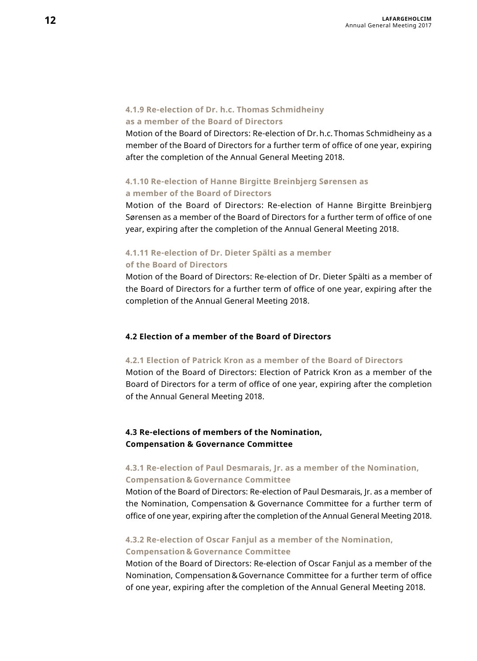# **4.1.9 Re-election of Dr. h.c. Thomas Schmidheiny**

## **as a member of the Board of Directors**

Motion of the Board of Directors: Re-election of Dr.h.c. Thomas Schmidheiny as a member of the Board of Directors for a further term of office of one year, expiring after the completion of the Annual General Meeting 2018.

# **4.1.10 Re-election of Hanne Birgitte Breinbjerg Sørensen as a member of the Board of Directors**

Motion of the Board of Directors: Re-election of Hanne Birgitte Breinbjerg Sørensen as a member of the Board of Directors for a further term of office of one year, expiring after the completion of the Annual General Meeting 2018.

### **4.1.11 Re-election of Dr. Dieter Spälti as a member of the Board of Directors**

Motion of the Board of Directors: Re-election of Dr. Dieter Spälti as a member of the Board of Directors for a further term of office of one year, expiring after the completion of the Annual General Meeting 2018.

### **4.2 Election of a member of the Board of Directors**

#### **4.2.1 Election of Patrick Kron as a member of the Board of Directors**

Motion of the Board of Directors: Election of Patrick Kron as a member of the Board of Directors for a term of office of one year, expiring after the completion of the Annual General Meeting 2018.

#### **4.3 Re-elections of members of the Nomination, Compensation & Governance Committee**

#### **4.3.1 Re-election of Paul Desmarais, Jr. as a member of the Nomination, Compensation & Governance Committee**

Motion of the Board of Directors: Re-election of Paul Desmarais, Jr. as a member of the Nomination, Compensation & Governance Committee for a further term of office of one year, expiring after the completion of the Annual General Meeting 2018.

# **4.3.2 Re-election of Oscar Fanjul as a member of the Nomination, Compensation & Governance Committee**

Motion of the Board of Directors: Re-election of Oscar Fanjul as a member of the Nomination, Compensation&Governance Committee for a further term of office of one year, expiring after the completion of the Annual General Meeting 2018.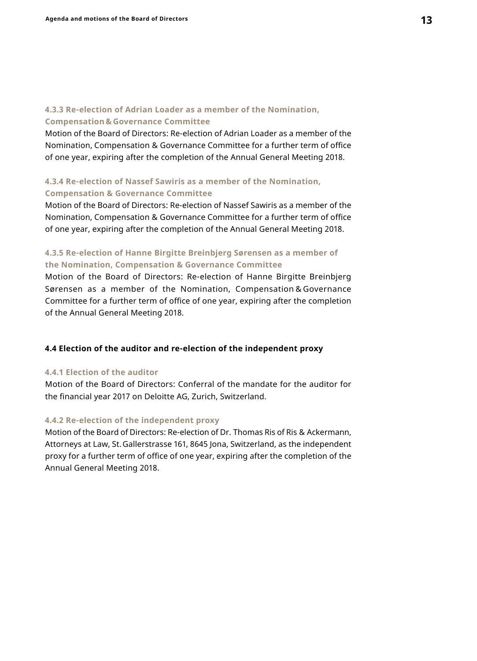#### **4.3.3 Re-election of Adrian Loader as a member of the Nomination, Compensation & Governance Committee**

Motion of the Board of Directors: Re-election of Adrian Loader as a member of the Nomination, Compensation & Governance Committee for a further term of office of one year, expiring after the completion of the Annual General Meeting 2018.

# **4.3.4 Re-election of Nassef Sawiris as a member of the Nomination, Compensation & Governance Committee**

Motion of the Board of Directors: Re-election of Nassef Sawiris as a member of the Nomination, Compensation & Governance Committee for a further term of office of one year, expiring after the completion of the Annual General Meeting 2018.

## **4.3.5 Re-election of Hanne Birgitte Breinbjerg Sørensen as a member of the Nomination, Compensation & Governance Committee**

Motion of the Board of Directors: Re-election of Hanne Birgitte Breinbjerg Sørensen as a member of the Nomination, Compensation & Governance Committee for a further term of office of one year, expiring after the completion of the Annual General Meeting 2018.

#### **4.4 Election of the auditor and re-election of the independent proxy**

#### **4.4.1 Election of the auditor**

Motion of the Board of Directors: Conferral of the mandate for the auditor for the financial year 2017 on Deloitte AG, Zurich, Switzerland.

#### **4.4.2 Re-election of the independent proxy**

Motion of the Board of Directors: Re-election of Dr. Thomas Ris of Ris & Ackermann, Attorneys at Law, St.Gallerstrasse 161, 8645 Jona, Switzerland, as the independent proxy for a further term of office of one year, expiring after the completion of the Annual General Meeting 2018.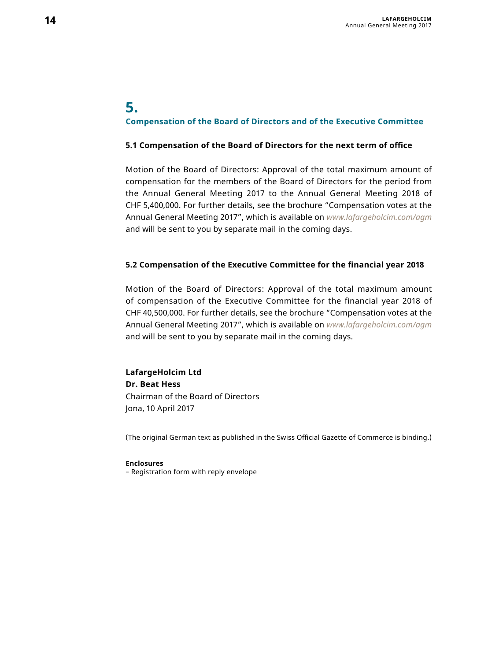# **5. Compensation of the Board of Directors and of the Executive Committee**

#### **5.1 Compensation of the Board of Directors for the next term of office**

Motion of the Board of Directors: Approval of the total maximum amount of compensation for the members of the Board of Directors for the period from the Annual General Meeting 2017 to the Annual General Meeting 2018 of CHF 5,400,000. For further details, see the brochure "Compensation votes at the Annual General Meeting 2017", which is available on *[www.lafargeholcim.com/agm](http://www.lafargeholcim.com/agm)* and will be sent to you by separate mail in the coming days.

#### **5.2 Compensation of the Executive Committee for the financial year 2018**

Motion of the Board of Directors: Approval of the total maximum amount of compensation of the Executive Committee for the financial year 2018 of CHF 40,500,000. For further details, see the brochure "Compensation votes at the Annual General Meeting 2017", which is available on *[www.lafargeholcim.com/agm](http://www.lafargeholcim.com/agm)*  and will be sent to you by separate mail in the coming days.

# **LafargeHolcim Ltd Dr. Beat Hess** Chairman of the Board of Directors Jona, 10 April 2017

(The original German text as published in the Swiss Official Gazette of Commerce is binding.)

#### **Enclosures**

– Registration form with reply envelope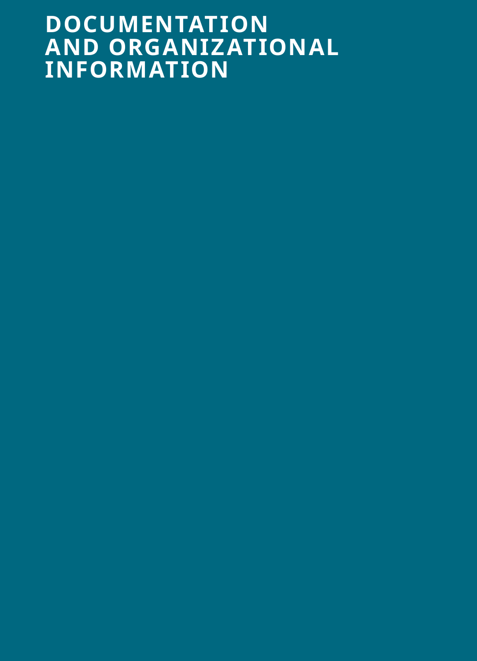# **DOCUMENTATION** AND ORGANIZATIONAL **INFORMATION**

- 
- 
- 
- 
- 
-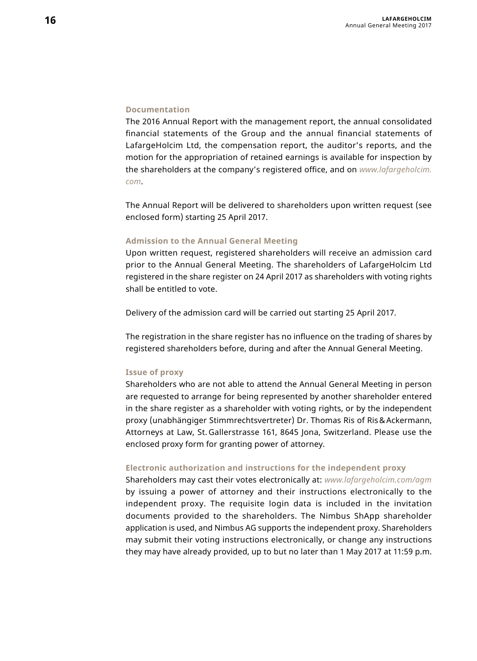#### **Documentation**

The 2016 Annual Report with the management report, the annual consolidated financial statements of the Group and the annual financial statements of LafargeHolcim Ltd, the compensation report, the auditor's reports, and the motion for the appropriation of retained earnings is available for inspection by the shareholders at the company's registered office, and on *[www.lafargeholcim.](www.lafargeholcim.com) [com](www.lafargeholcim.com)*.

The Annual Report will be delivered to shareholders upon written request (see enclosed form) starting 25 April 2017.

#### **Admission to the Annual General Meeting**

Upon written request, registered shareholders will receive an admission card prior to the Annual General Meeting. The shareholders of LafargeHolcim Ltd registered in the share register on 24 April 2017 as shareholders with voting rights shall be entitled to vote.

Delivery of the admission card will be carried out starting 25 April 2017.

The registration in the share register has no influence on the trading of shares by registered shareholders before, during and after the Annual General Meeting.

#### **Issue of proxy**

Shareholders who are not able to attend the Annual General Meeting in person are requested to arrange for being represented by another shareholder entered in the share register as a shareholder with voting rights, or by the independent proxy (unabhängiger Stimmrechtsvertreter) Dr. Thomas Ris of Ris& Ackermann, Attorneys at Law, St. Gallerstrasse 161, 8645 Jona, Switzerland. Please use the enclosed proxy form for granting power of attorney.

#### **Electronic authorization and instructions for the independent proxy**

Shareholders may cast their votes electronically at: *<www.lafargeholcim.com/agm>* by issuing a power of attorney and their instructions electronically to the independent proxy. The requisite login data is included in the invitation documents provided to the shareholders. The Nimbus ShApp shareholder application is used, and Nimbus AG supports the independent proxy. Shareholders may submit their voting instructions electronically, or change any instructions they may have already provided, up to but no later than 1 May 2017 at 11:59 p.m.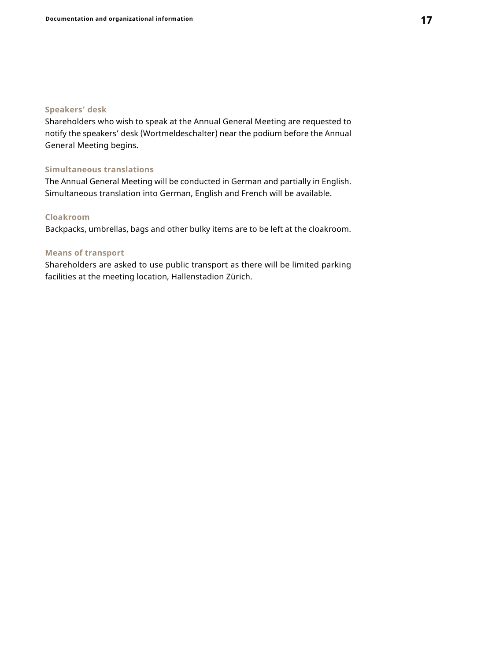### **Speakers' desk**

Shareholders who wish to speak at the Annual General Meeting are requested to notify the speakers' desk (Wortmeldeschalter) near the podium before the Annual General Meeting begins.

#### **Simultaneous translations**

The Annual General Meeting will be conducted in German and partially in English. Simultaneous translation into German, English and French will be available.

### **Cloakroom**

Backpacks, umbrellas, bags and other bulky items are to be left at the cloakroom.

#### **Means of transport**

Shareholders are asked to use public transport as there will be limited parking facilities at the meeting location, Hallenstadion Zürich.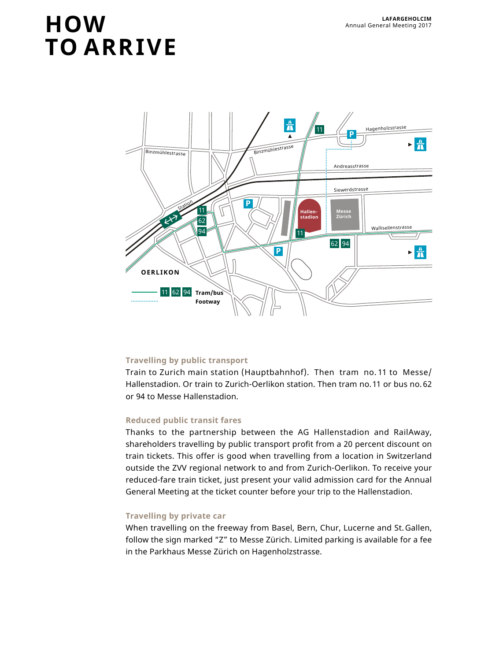# **LAFARGEHOLCIM LAFARGEHOLCIM TO ARRIVE**



## **Travelling by public transport**

Train to Zurich main station (Hauptbahnhof). Then tram no. 11 to Messe/ Hallenstadion. Or train to Zurich-Oerlikon station. Then tram no.11 or bus no. 62 or 94 to Messe Hallenstadion.

#### **Reduced public transit fares**

Thanks to the partnership between the AG Hallenstadion and RailAway, shareholders travelling by public transport profit from a 20 percent discount on train tickets. This offer is good when travelling from a location in Switzerland outside the ZVV regional network to and from Zurich-Oerlikon. To receive your reduced-fare train ticket, just present your valid admission card for the Annual General Meeting at the ticket counter before your trip to the Hallenstadion.

### **Travelling by private car**

When travelling on the freeway from Basel, Bern, Chur, Lucerne and St.Gallen, follow the sign marked "Z" to Messe Zürich. Limited parking is available for a fee in the Parkhaus Messe Zürich on Hagenholzstrasse.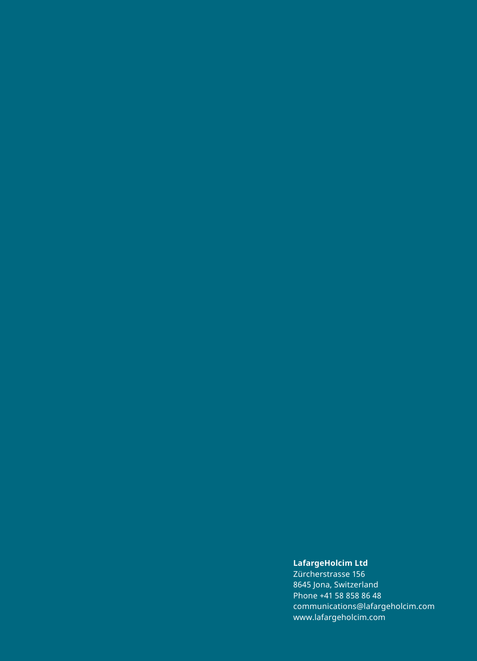#### **LafargeHolcim Ltd**

Zürcherstrasse 156 8645 Jona, Switzerland Phone +41 58 858 86 48 [communications@lafargeholcim.com](mailto:communications%40lafargeholcim.com?subject=) <www.lafargeholcim.com>